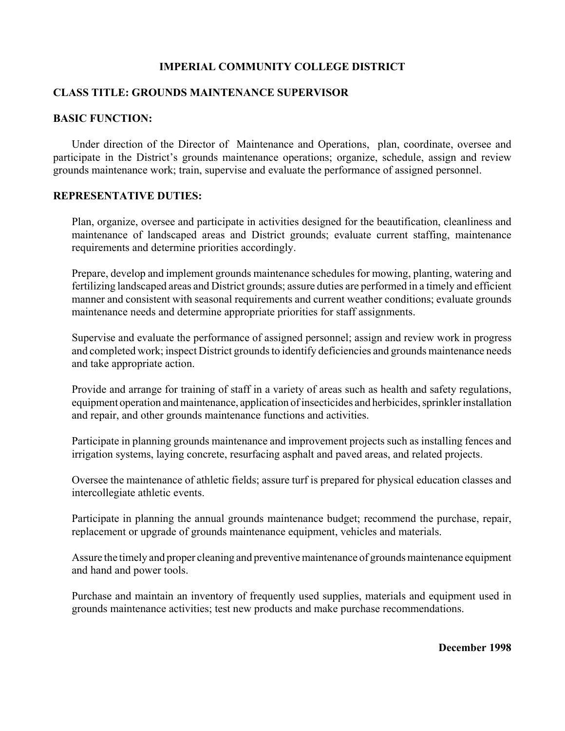## **IMPERIAL COMMUNITY COLLEGE DISTRICT**

## **CLASS TITLE: GROUNDS MAINTENANCE SUPERVISOR**

#### **BASIC FUNCTION:**

Under direction of the Director of Maintenance and Operations, plan, coordinate, oversee and participate in the District's grounds maintenance operations; organize, schedule, assign and review grounds maintenance work; train, supervise and evaluate the performance of assigned personnel.

#### **REPRESENTATIVE DUTIES:**

Plan, organize, oversee and participate in activities designed for the beautification, cleanliness and maintenance of landscaped areas and District grounds; evaluate current staffing, maintenance requirements and determine priorities accordingly.

Prepare, develop and implement grounds maintenance schedules for mowing, planting, watering and fertilizing landscaped areas and District grounds; assure duties are performed in a timely and efficient manner and consistent with seasonal requirements and current weather conditions; evaluate grounds maintenance needs and determine appropriate priorities for staff assignments.

Supervise and evaluate the performance of assigned personnel; assign and review work in progress and completed work; inspect District grounds to identify deficiencies and grounds maintenance needs and take appropriate action.

Provide and arrange for training of staff in a variety of areas such as health and safety regulations, equipment operation and maintenance, application of insecticides and herbicides, sprinkler installation and repair, and other grounds maintenance functions and activities.

Participate in planning grounds maintenance and improvement projects such as installing fences and irrigation systems, laying concrete, resurfacing asphalt and paved areas, and related projects.

Oversee the maintenance of athletic fields; assure turf is prepared for physical education classes and intercollegiate athletic events.

Participate in planning the annual grounds maintenance budget; recommend the purchase, repair, replacement or upgrade of grounds maintenance equipment, vehicles and materials.

Assure the timely and proper cleaning and preventive maintenance of grounds maintenance equipment and hand and power tools.

Purchase and maintain an inventory of frequently used supplies, materials and equipment used in grounds maintenance activities; test new products and make purchase recommendations.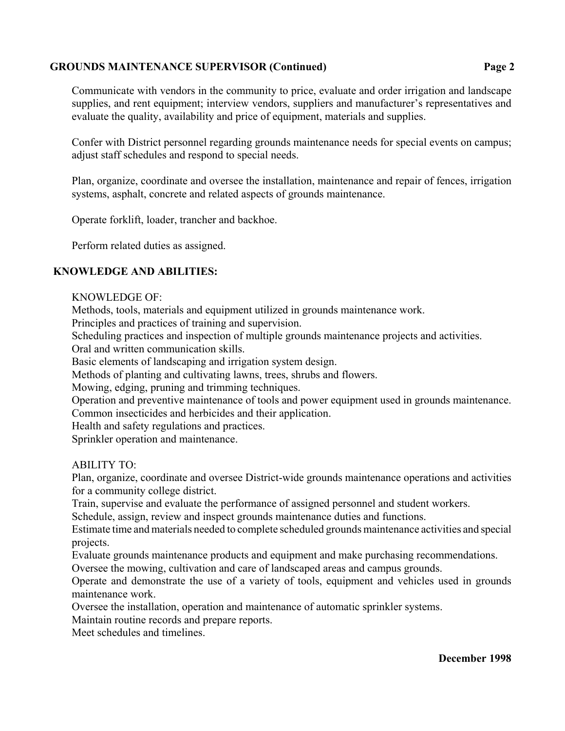## **GROUNDS MAINTENANCE SUPERVISOR (Continued) Page 2**

Communicate with vendors in the community to price, evaluate and order irrigation and landscape supplies, and rent equipment; interview vendors, suppliers and manufacturer's representatives and evaluate the quality, availability and price of equipment, materials and supplies.

Confer with District personnel regarding grounds maintenance needs for special events on campus; adjust staff schedules and respond to special needs.

Plan, organize, coordinate and oversee the installation, maintenance and repair of fences, irrigation systems, asphalt, concrete and related aspects of grounds maintenance.

Operate forklift, loader, trancher and backhoe.

Perform related duties as assigned.

### **KNOWLEDGE AND ABILITIES:**

#### KNOWLEDGE OF:

Methods, tools, materials and equipment utilized in grounds maintenance work.

Principles and practices of training and supervision.

Scheduling practices and inspection of multiple grounds maintenance projects and activities.

Oral and written communication skills.

Basic elements of landscaping and irrigation system design.

Methods of planting and cultivating lawns, trees, shrubs and flowers.

Mowing, edging, pruning and trimming techniques.

Operation and preventive maintenance of tools and power equipment used in grounds maintenance.

Common insecticides and herbicides and their application.

Health and safety regulations and practices.

Sprinkler operation and maintenance.

ABILITY TO:

Plan, organize, coordinate and oversee District-wide grounds maintenance operations and activities for a community college district.

Train, supervise and evaluate the performance of assigned personnel and student workers.

Schedule, assign, review and inspect grounds maintenance duties and functions.

Estimate time and materials needed to complete scheduled grounds maintenance activities and special projects.

Evaluate grounds maintenance products and equipment and make purchasing recommendations.

Oversee the mowing, cultivation and care of landscaped areas and campus grounds.

Operate and demonstrate the use of a variety of tools, equipment and vehicles used in grounds maintenance work.

Oversee the installation, operation and maintenance of automatic sprinkler systems.

Maintain routine records and prepare reports.

Meet schedules and timelines.